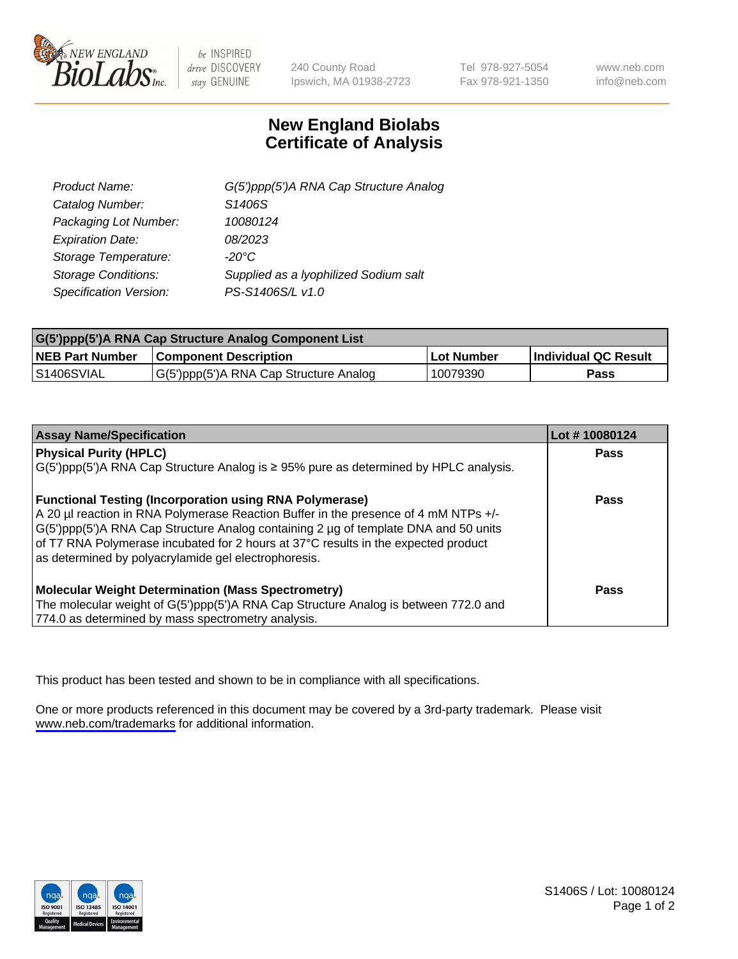

be INSPIRED drive DISCOVERY stay GENUINE

240 County Road Ipswich, MA 01938-2723 Tel 978-927-5054 Fax 978-921-1350

www.neb.com info@neb.com

## **New England Biolabs Certificate of Analysis**

| G(5')ppp(5')A RNA Cap Structure Analog |
|----------------------------------------|
| S1406S                                 |
| 10080124                               |
| 08/2023                                |
| $-20^{\circ}$ C                        |
| Supplied as a Iyophilized Sodium salt  |
| PS-S1406S/L v1.0                       |
|                                        |

| G(5')ppp(5')A RNA Cap Structure Analog Component List |                                        |            |                             |  |
|-------------------------------------------------------|----------------------------------------|------------|-----------------------------|--|
| <b>NEB Part Number</b>                                | <b>Component Description</b>           | Lot Number | <b>Individual QC Result</b> |  |
| <b>S1406SVIAL</b>                                     | G(5')ppp(5')A RNA Cap Structure Analog | 10079390   | Pass                        |  |

| <b>Assay Name/Specification</b>                                                               | Lot #10080124 |
|-----------------------------------------------------------------------------------------------|---------------|
| <b>Physical Purity (HPLC)</b>                                                                 | <b>Pass</b>   |
| $G(5')$ ppp(5')A RNA Cap Structure Analog is $\geq 95\%$ pure as determined by HPLC analysis. |               |
| <b>Functional Testing (Incorporation using RNA Polymerase)</b>                                | Pass          |
| A 20 µl reaction in RNA Polymerase Reaction Buffer in the presence of 4 mM NTPs +/-           |               |
| G(5')ppp(5')A RNA Cap Structure Analog containing 2 µg of template DNA and 50 units           |               |
| of T7 RNA Polymerase incubated for 2 hours at 37°C results in the expected product            |               |
| as determined by polyacrylamide gel electrophoresis.                                          |               |
| <b>Molecular Weight Determination (Mass Spectrometry)</b>                                     | Pass          |
| The molecular weight of G(5')ppp(5')A RNA Cap Structure Analog is between 772.0 and           |               |
| 774.0 as determined by mass spectrometry analysis.                                            |               |

This product has been tested and shown to be in compliance with all specifications.

One or more products referenced in this document may be covered by a 3rd-party trademark. Please visit <www.neb.com/trademarks>for additional information.



S1406S / Lot: 10080124 Page 1 of 2